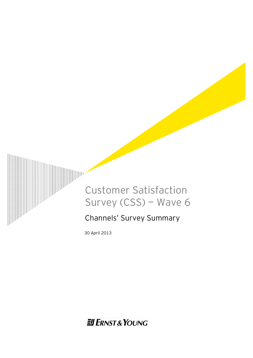

30 April 2013

**Ell ERNST & YOUNG**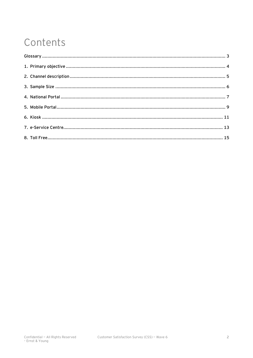# Contents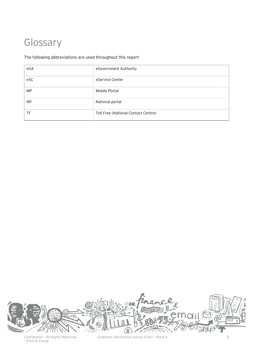## Glossary

### The following abbreviations are used throughout this report

|     | eGovernment Authority               |
|-----|-------------------------------------|
| eSC | eService Center                     |
| МP  | Mobile Portal                       |
| NP  | National portal                     |
|     | Toll Free (National Contact Centre) |



Confidential - All Rights Reserved<br>- Ernst & Young

Customer Satisfaction Survey (CSS) – Wave 6 3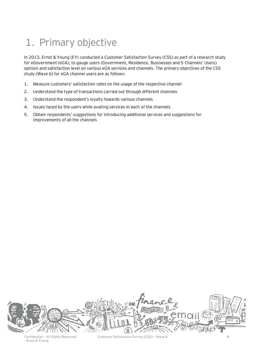# 1. Primary objective

In 2013, Ernst & Young (EY) conducted a Customer Satisfaction Survey (CSS) as part of a research study for eGovernment (eGA), to gauge users (Government, Residence, Businesses and 5 Channels' Users) opinion and satisfaction level on various eGA services and channels. The primary objectives of the CSS study (Wave 6) for eGA channel users are as follows:

- 1. Measure customers' satisfaction rates on the usage of the respective channel
- 2. Understand the type of transactions carried out through different channels
- 3. Understand the respondent's loyalty towards various channels
- 4. Issues faced by the users while availing services in each of the channels
- 5. Obtain respondents' suggestions for introducing additional services and suggestions for improvements of all the channels

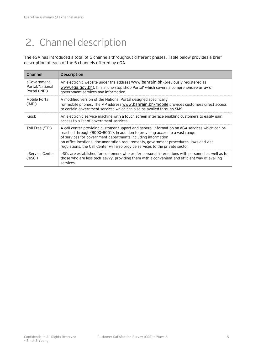# 2. Channel description

The eGA has introduced a total of 5 channels throughout different phases. Table below provides a brief description of each of the 5 channels offered by eGA.

| Channel                                         | Description                                                                                                                                                                                                                                                                                                                                                                                                             |
|-------------------------------------------------|-------------------------------------------------------------------------------------------------------------------------------------------------------------------------------------------------------------------------------------------------------------------------------------------------------------------------------------------------------------------------------------------------------------------------|
| eGovernment<br>Portal/National<br>Portal ('NP') | An electronic website under the address www.bahrain.bh (previously registered as<br>www.ega.gov.bh). It is a 'one stop shop Portal' which covers a comprehensive array of<br>government services and information                                                                                                                                                                                                        |
| Mobile Portal<br>('MP')                         | A modified version of the National Portal designed specifically<br>for mobile phones. The MP address www.bahrain.bh/mobile provides customers direct access<br>to certain government services which can also be availed through SMS                                                                                                                                                                                     |
| Kiosk                                           | An electronic service machine with a touch screen interface enabling customers to easily gain<br>access to a list of government services.                                                                                                                                                                                                                                                                               |
| Toll Free ('TF')                                | A call center providing customer support and general information on eGA services which can be<br>reached through (8000-8001). In addition to providing access to a vast range<br>of services for government departments including information<br>on office locations, documentation requirements, government procedures, laws and visa<br>regulations, the Call Center will also provide services to the private sector |
| eService Center<br>('eSC')                      | eSCs are established for customers who prefer personal interactions with personnel as well as for<br>those who are less tech-savvy, providing them with a convenient and efficient way of availing<br>services.                                                                                                                                                                                                         |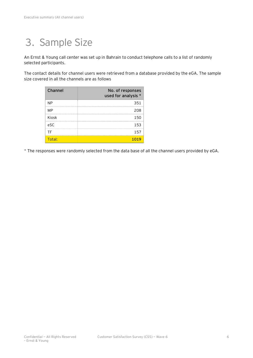# 3. Sample Size

An Ernst & Young call center was set up in Bahrain to conduct telephone calls to a list of randomly selected participants.

The contact details for channel users were retrieved from a database provided by the eGA. The sample size covered in all the channels are as follows

| Channel   | No. of responses<br>used for analysis * |
|-----------|-----------------------------------------|
| ΝP        | 351                                     |
| MP        | 208                                     |
| Kiosk     | 150                                     |
| eSC       | 153                                     |
| ТF        | 157                                     |
| $T$ otal: |                                         |

\* The responses were randomly selected from the data base of all the channel users provided by eGA.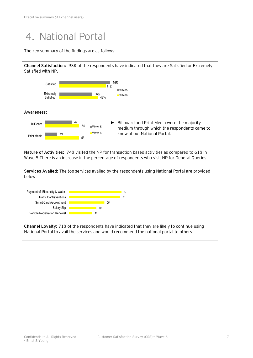### 4. National Portal

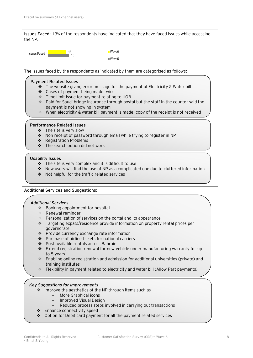**Issues Faced:** 13% of the respondents have indicated that they have faced issues while accessing the NP.

15 13 Issues Faced <mark>Wave6 <sub>15</sub> Issues Faced 2006</mark> Wave5

The issues faced by the respondents as indicated by them are categorised as follows:

#### **Payment Related Issues**

- $\cdot \cdot$  The website giving error message for the payment of Electricity & Water bill
- ❖ Cases of payment being made twice
- Time limit issue for payment relating to UOB
- $\div$  Paid for Saudi bridge insurance through postal but the staff in the counter said the payment is not showing in system
- $\cdot$  When electricity & water bill payment is made, copy of the receipt is not received

#### **Performance Related Issues**

- $\div$  The site is very slow
- ◆ Non receipt of password through email while trying to register in NP
- \* Registration Problems
- $\div$  The search option did not work

#### **Usability Issues**

- $\div$  The site is very complex and it is difficult to use
- $\cdot \cdot$  New users will find the use of NP as a complicated one due to cluttered information
- ◆ Not helpful for the traffic related services

#### **Additional Services and Suggestions:**

#### *Additional Services*

- v Booking appointment for hospital
- ❖ Renewal reminder
- $\cdot \cdot$  Personalization of services on the portal and its appearance
- v Targeting expats/residence provide information on property rental prices per governorate
- v Provide currency exchange rate information
- $\cdot \cdot$  Purchase of airline tickets for national carriers
- ❖ Post available rentals across Bahrain
- $\cdot \cdot$  Extend registration renewal for new vehicle under manufacturing warranty for up to 5 years
- v Enabling online registration and admission for additional universities (private) and training institutes
- v Flexibility in payment related to electricity and water bill (Allow Part payments)

#### *Key Suggestions for Improvements*

- $\cdot$  Improve the aesthetics of the NP through items such as
	- − More Graphical icons<br>− Improved Visual Desi
		- − Improved Visual Design
	- Reduced process steps involved in carrying out transactions
- v Enhance connectivity speed
- $\div$  Option for Debit card payment for all the payment related services

 $\mathbb{Z}$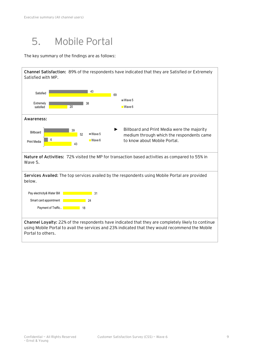### 5. Mobile Portal

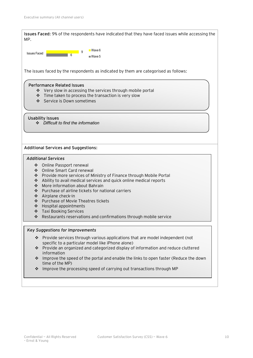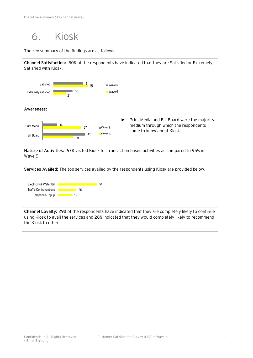6. Kiosk

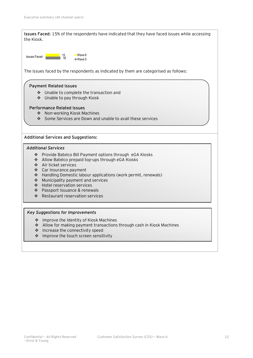

- $\cdot$  Improve the touch screen sensitivity
-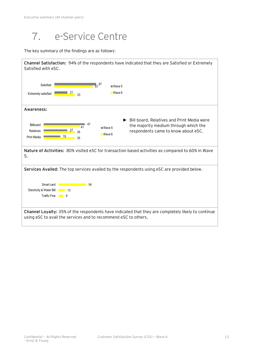# 7. e-Service Centre

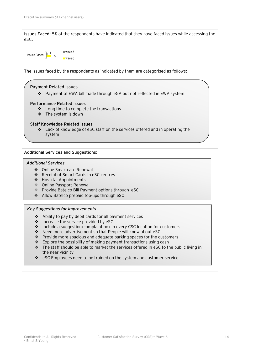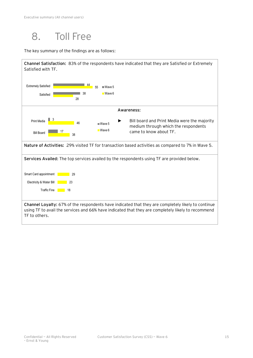

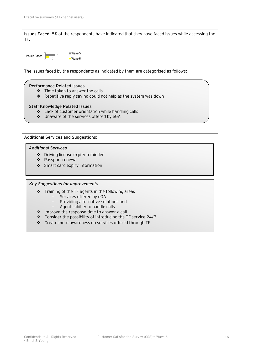